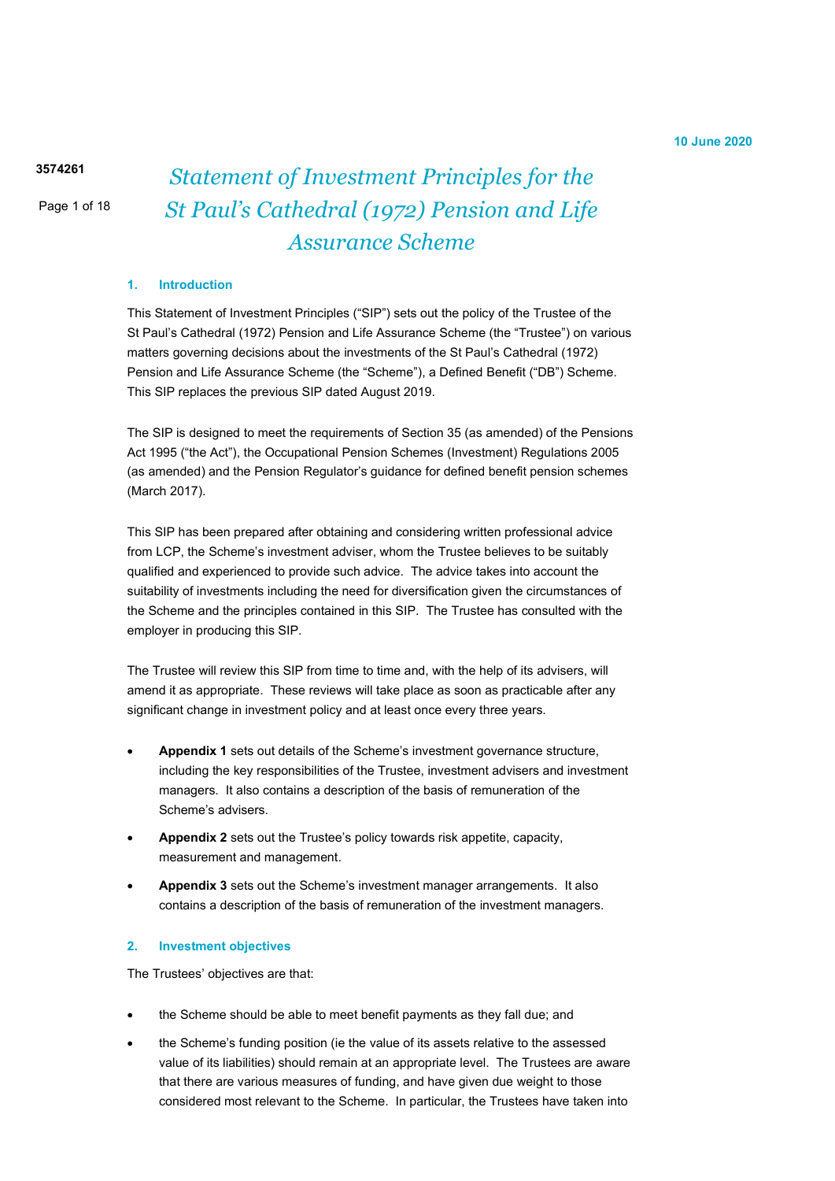#### 10 June 2020

Page 1 of 18

# <sup>3574261</sup> Statement of Investment Principles for the St Paul's Cathedral (1972) Pension and Life Assurance Scheme

#### 1. Introduction

This Statement of Investment Principles ("SIP") sets out the policy of the Trustee of the St Paul's Cathedral (1972) Pension and Life Assurance Scheme (the "Trustee") on various matters governing decisions about the investments of the St Paul's Cathedral (1972) Pension and Life Assurance Scheme (the "Scheme"), a Defined Benefit ("DB") Scheme. This SIP replaces the previous SIP dated August 2019.

The SIP is designed to meet the requirements of Section 35 (as amended) of the Pensions Act 1995 ("the Act"), the Occupational Pension Schemes (Investment) Regulations 2005 (as amended) and the Pension Regulator's guidance for defined benefit pension schemes (March 2017).

This SIP has been prepared after obtaining and considering written professional advice from LCP, the Scheme's investment adviser, whom the Trustee believes to be suitably qualified and experienced to provide such advice. The advice takes into account the suitability of investments including the need for diversification given the circumstances of the Scheme and the principles contained in this SIP. The Trustee has consulted with the employer in producing this SIP.

The Trustee will review this SIP from time to time and, with the help of its advisers, will amend it as appropriate. These reviews will take place as soon as practicable after any significant change in investment policy and at least once every three years.

- Appendix 1 sets out details of the Scheme's investment governance structure. including the key responsibilities of the Trustee, investment advisers and investment managers. It also contains a description of the basis of remuneration of the Scheme's advisers.
- Appendix 2 sets out the Trustee's policy towards risk appetite, capacity, measurement and management.
- Appendix 3 sets out the Scheme's investment manager arrangements. It also contains a description of the basis of remuneration of the investment managers.

#### 2. Investment objectives

The Trustees' objectives are that:

- the Scheme should be able to meet benefit payments as they fall due; and
- the Scheme's funding position (ie the value of its assets relative to the assessed value of its liabilities) should remain at an appropriate level. The Trustees are aware that there are various measures of funding, and have given due weight to those considered most relevant to the Scheme. In particular, the Trustees have taken into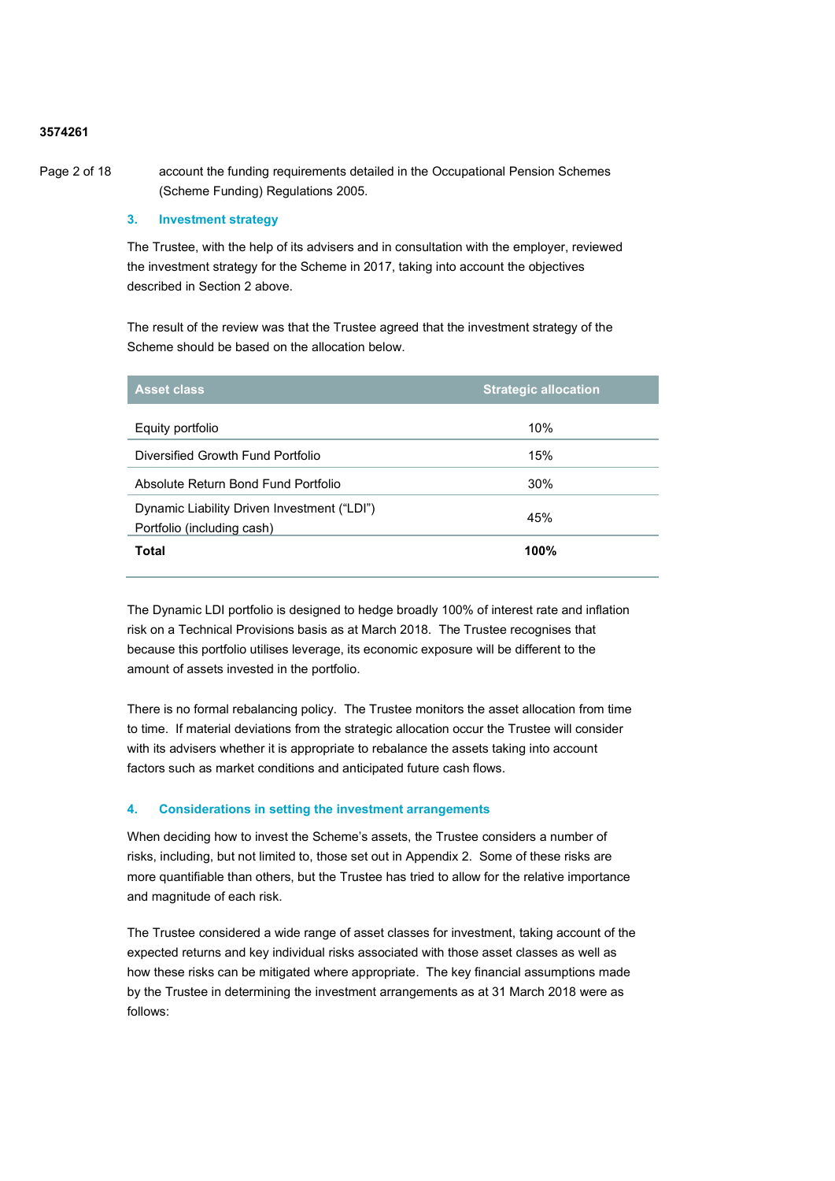Page 2 of 18 account the funding requirements detailed in the Occupational Pension Schemes (Scheme Funding) Regulations 2005.

#### 3. Investment strategy

The Trustee, with the help of its advisers and in consultation with the employer, reviewed the investment strategy for the Scheme in 2017, taking into account the objectives described in Section 2 above.

The result of the review was that the Trustee agreed that the investment strategy of the Scheme should be based on the allocation below.

| <b>Asset class</b>                                                        | <b>Strategic allocation</b> |
|---------------------------------------------------------------------------|-----------------------------|
| Equity portfolio                                                          | 10%                         |
| Diversified Growth Fund Portfolio                                         | 15%                         |
| Absolute Return Bond Fund Portfolio                                       | 30%                         |
| Dynamic Liability Driven Investment ("LDI")<br>Portfolio (including cash) | 45%                         |
| Total                                                                     | 100%                        |

The Dynamic LDI portfolio is designed to hedge broadly 100% of interest rate and inflation risk on a Technical Provisions basis as at March 2018. The Trustee recognises that because this portfolio utilises leverage, its economic exposure will be different to the amount of assets invested in the portfolio.

There is no formal rebalancing policy. The Trustee monitors the asset allocation from time to time. If material deviations from the strategic allocation occur the Trustee will consider with its advisers whether it is appropriate to rebalance the assets taking into account factors such as market conditions and anticipated future cash flows.

#### 4. Considerations in setting the investment arrangements

When deciding how to invest the Scheme's assets, the Trustee considers a number of risks, including, but not limited to, those set out in Appendix 2. Some of these risks are more quantifiable than others, but the Trustee has tried to allow for the relative importance and magnitude of each risk.

The Trustee considered a wide range of asset classes for investment, taking account of the expected returns and key individual risks associated with those asset classes as well as how these risks can be mitigated where appropriate. The key financial assumptions made by the Trustee in determining the investment arrangements as at 31 March 2018 were as follows: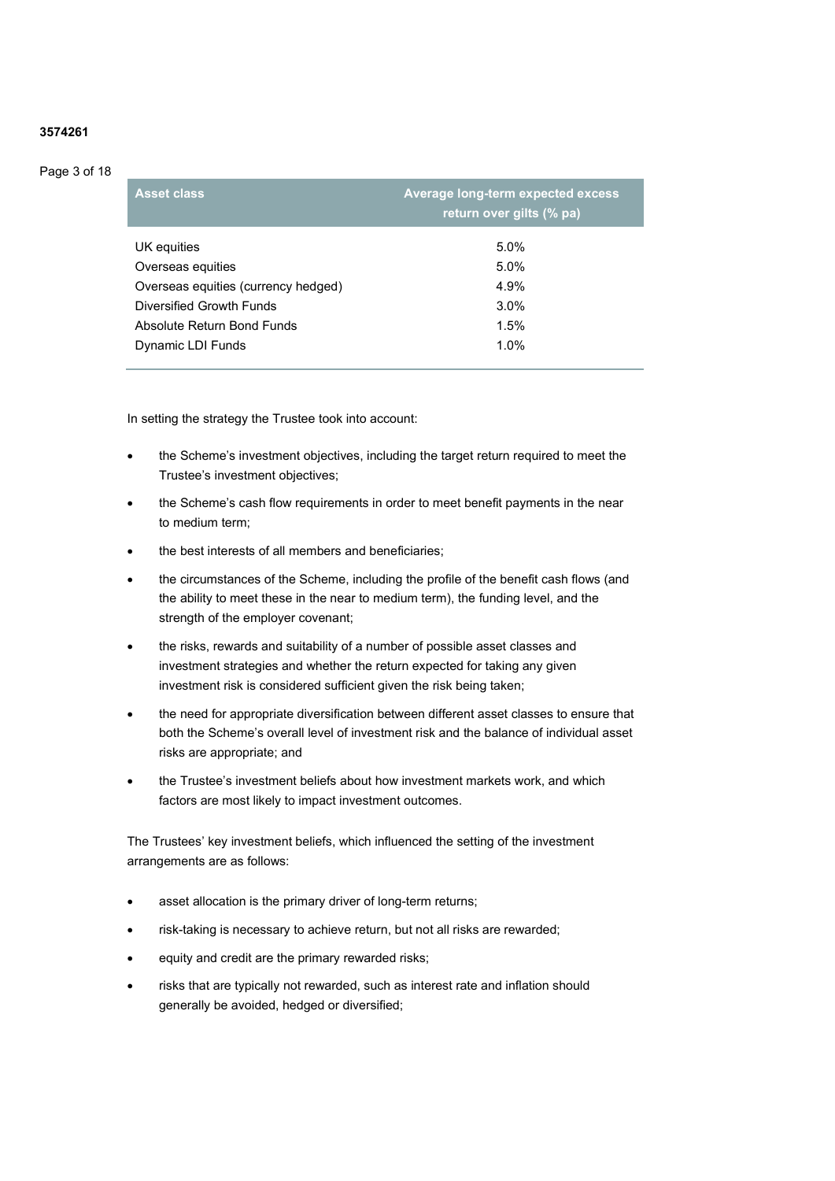#### Page 3 of 18

| <b>Asset class</b>                  | <b>Average long-term expected excess</b><br>return over gilts (% pa) |
|-------------------------------------|----------------------------------------------------------------------|
| UK equities                         | 5.0%                                                                 |
| Overseas equities                   | $5.0\%$                                                              |
| Overseas equities (currency hedged) | 4.9%                                                                 |
| Diversified Growth Funds            | 3.0%                                                                 |
| Absolute Return Bond Funds          | 1.5%                                                                 |
| Dynamic LDI Funds                   | 1.0%                                                                 |

In setting the strategy the Trustee took into account:

- the Scheme's investment objectives, including the target return required to meet the Trustee's investment objectives;
- the Scheme's cash flow requirements in order to meet benefit payments in the near to medium term;
- the best interests of all members and beneficiaries;
- the circumstances of the Scheme, including the profile of the benefit cash flows (and the ability to meet these in the near to medium term), the funding level, and the strength of the employer covenant;
- the risks, rewards and suitability of a number of possible asset classes and investment strategies and whether the return expected for taking any given investment risk is considered sufficient given the risk being taken;
- the need for appropriate diversification between different asset classes to ensure that both the Scheme's overall level of investment risk and the balance of individual asset risks are appropriate; and
- the Trustee's investment beliefs about how investment markets work, and which factors are most likely to impact investment outcomes.

The Trustees' key investment beliefs, which influenced the setting of the investment arrangements are as follows:

- asset allocation is the primary driver of long-term returns;
- risk-taking is necessary to achieve return, but not all risks are rewarded;
- equity and credit are the primary rewarded risks;
- risks that are typically not rewarded, such as interest rate and inflation should generally be avoided, hedged or diversified;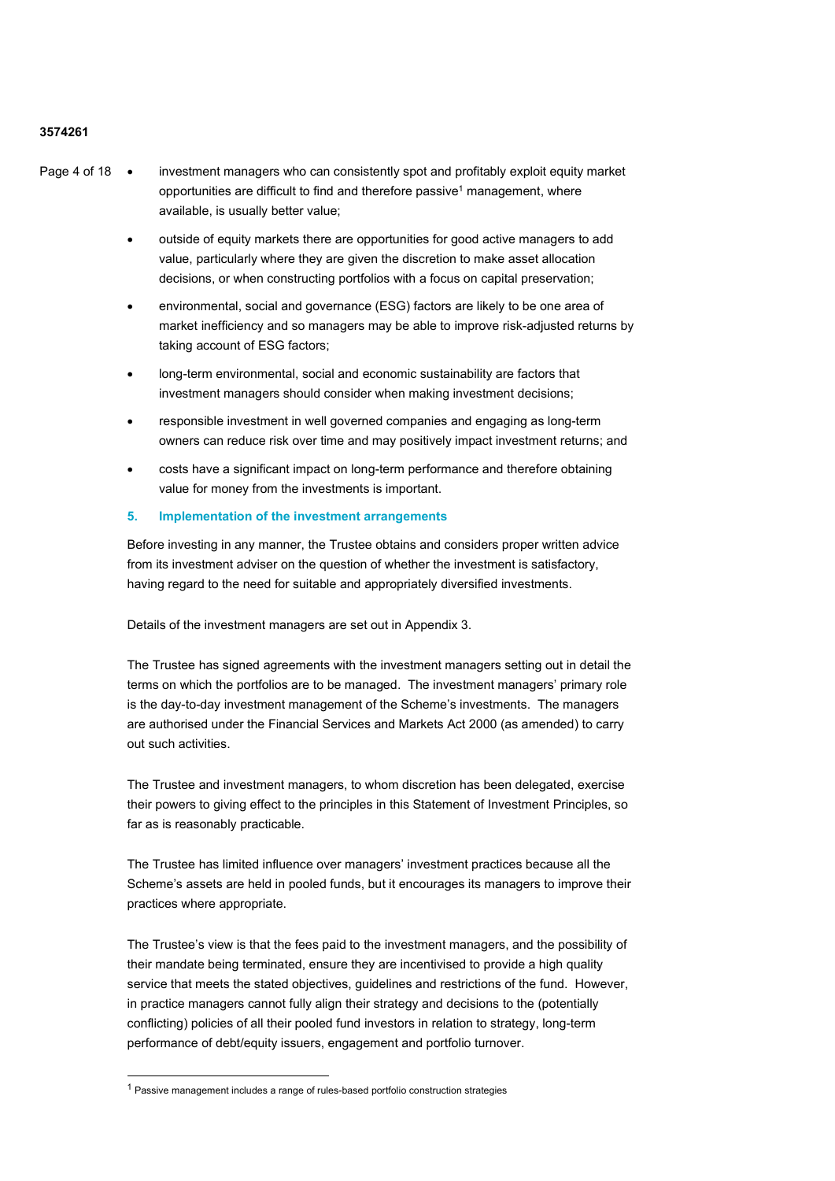- 
- Page 4 of 18 investment managers who can consistently spot and profitably exploit equity market opportunities are difficult to find and therefore passive<sup>1</sup> management, where available, is usually better value;
	- outside of equity markets there are opportunities for good active managers to add value, particularly where they are given the discretion to make asset allocation decisions, or when constructing portfolios with a focus on capital preservation;
	- environmental, social and governance (ESG) factors are likely to be one area of market inefficiency and so managers may be able to improve risk-adjusted returns by taking account of ESG factors;
	- long-term environmental, social and economic sustainability are factors that investment managers should consider when making investment decisions;
	- responsible investment in well governed companies and engaging as long-term owners can reduce risk over time and may positively impact investment returns; and
	- costs have a significant impact on long-term performance and therefore obtaining value for money from the investments is important.

#### 5. Implementation of the investment arrangements

Before investing in any manner, the Trustee obtains and considers proper written advice from its investment adviser on the question of whether the investment is satisfactory, having regard to the need for suitable and appropriately diversified investments.

Details of the investment managers are set out in Appendix 3.

The Trustee has signed agreements with the investment managers setting out in detail the terms on which the portfolios are to be managed. The investment managers' primary role is the day-to-day investment management of the Scheme's investments. The managers are authorised under the Financial Services and Markets Act 2000 (as amended) to carry out such activities.

The Trustee and investment managers, to whom discretion has been delegated, exercise their powers to giving effect to the principles in this Statement of Investment Principles, so far as is reasonably practicable.

The Trustee has limited influence over managers' investment practices because all the Scheme's assets are held in pooled funds, but it encourages its managers to improve their practices where appropriate.

The Trustee's view is that the fees paid to the investment managers, and the possibility of their mandate being terminated, ensure they are incentivised to provide a high quality service that meets the stated objectives, guidelines and restrictions of the fund. However, in practice managers cannot fully align their strategy and decisions to the (potentially conflicting) policies of all their pooled fund investors in relation to strategy, long-term performance of debt/equity issuers, engagement and portfolio turnover.

<sup>&</sup>lt;sup>1</sup> Passive management includes a range of rules-based portfolio construction strategies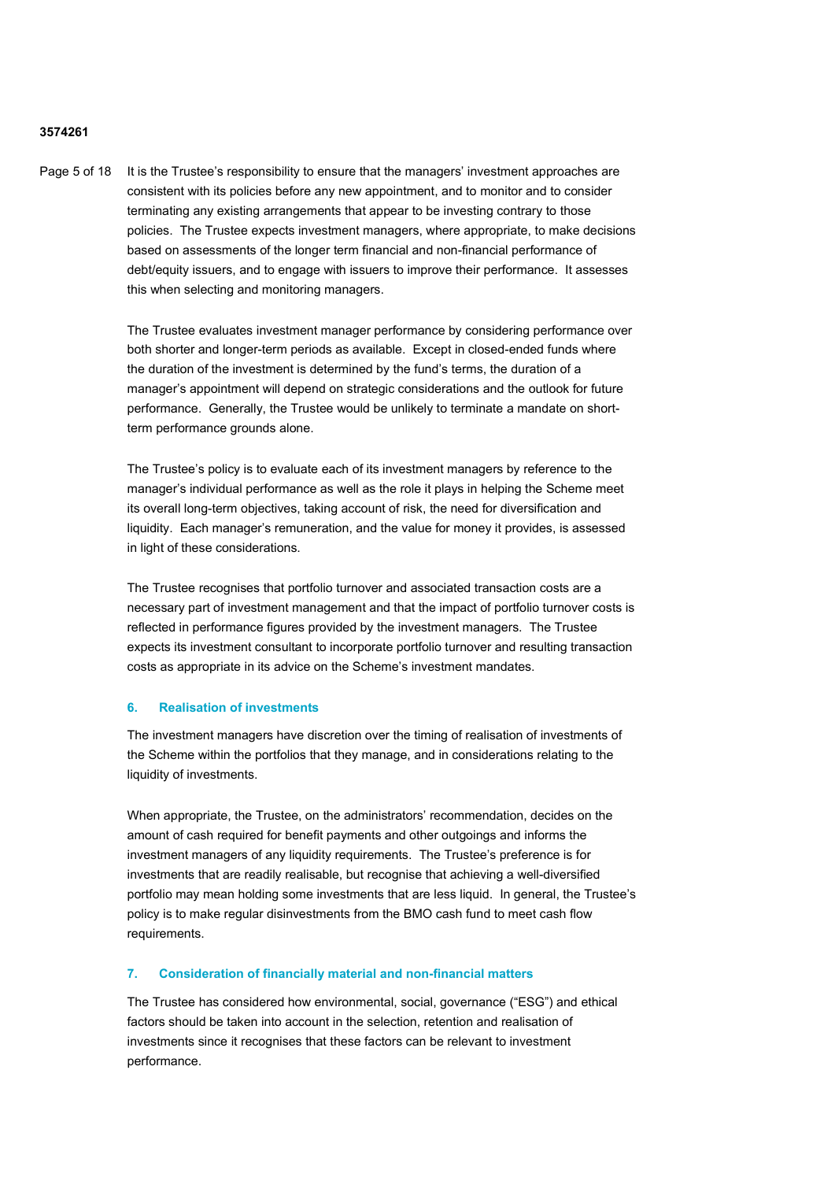Page 5 of 18 It is the Trustee's responsibility to ensure that the managers' investment approaches are consistent with its policies before any new appointment, and to monitor and to consider terminating any existing arrangements that appear to be investing contrary to those policies. The Trustee expects investment managers, where appropriate, to make decisions based on assessments of the longer term financial and non-financial performance of debt/equity issuers, and to engage with issuers to improve their performance. It assesses this when selecting and monitoring managers.

> The Trustee evaluates investment manager performance by considering performance over both shorter and longer-term periods as available. Except in closed-ended funds where the duration of the investment is determined by the fund's terms, the duration of a manager's appointment will depend on strategic considerations and the outlook for future performance. Generally, the Trustee would be unlikely to terminate a mandate on shortterm performance grounds alone.

The Trustee's policy is to evaluate each of its investment managers by reference to the manager's individual performance as well as the role it plays in helping the Scheme meet its overall long-term objectives, taking account of risk, the need for diversification and liquidity. Each manager's remuneration, and the value for money it provides, is assessed in light of these considerations.

The Trustee recognises that portfolio turnover and associated transaction costs are a necessary part of investment management and that the impact of portfolio turnover costs is reflected in performance figures provided by the investment managers. The Trustee expects its investment consultant to incorporate portfolio turnover and resulting transaction costs as appropriate in its advice on the Scheme's investment mandates.

#### 6. Realisation of investments

The investment managers have discretion over the timing of realisation of investments of the Scheme within the portfolios that they manage, and in considerations relating to the liquidity of investments.

When appropriate, the Trustee, on the administrators' recommendation, decides on the amount of cash required for benefit payments and other outgoings and informs the investment managers of any liquidity requirements. The Trustee's preference is for investments that are readily realisable, but recognise that achieving a well-diversified portfolio may mean holding some investments that are less liquid. In general, the Trustee's policy is to make regular disinvestments from the BMO cash fund to meet cash flow requirements.

#### 7. Consideration of financially material and non-financial matters

The Trustee has considered how environmental, social, governance ("ESG") and ethical factors should be taken into account in the selection, retention and realisation of investments since it recognises that these factors can be relevant to investment performance.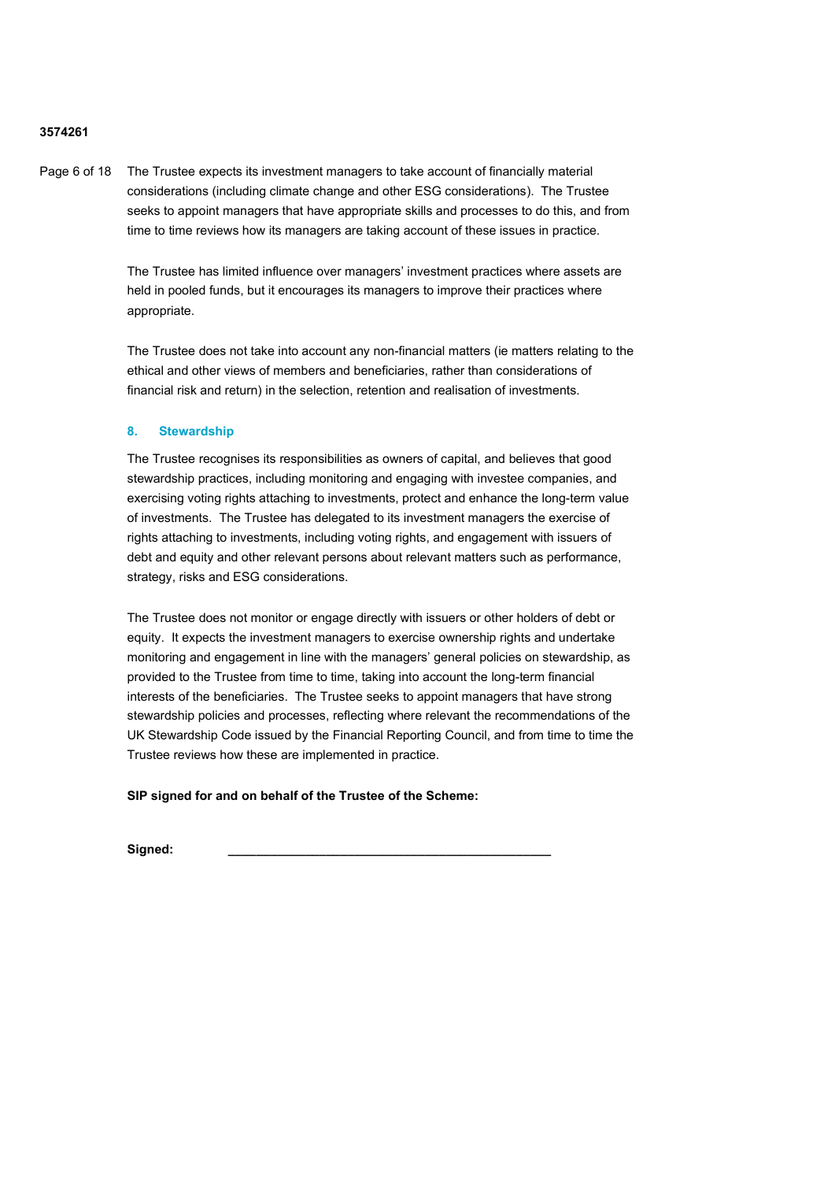Page 6 of 18 The Trustee expects its investment managers to take account of financially material considerations (including climate change and other ESG considerations). The Trustee seeks to appoint managers that have appropriate skills and processes to do this, and from time to time reviews how its managers are taking account of these issues in practice.

> The Trustee has limited influence over managers' investment practices where assets are held in pooled funds, but it encourages its managers to improve their practices where appropriate.

The Trustee does not take into account any non-financial matters (ie matters relating to the ethical and other views of members and beneficiaries, rather than considerations of financial risk and return) in the selection, retention and realisation of investments.

#### 8. Stewardship

The Trustee recognises its responsibilities as owners of capital, and believes that good stewardship practices, including monitoring and engaging with investee companies, and exercising voting rights attaching to investments, protect and enhance the long-term value of investments. The Trustee has delegated to its investment managers the exercise of rights attaching to investments, including voting rights, and engagement with issuers of debt and equity and other relevant persons about relevant matters such as performance, strategy, risks and ESG considerations.

The Trustee does not monitor or engage directly with issuers or other holders of debt or equity. It expects the investment managers to exercise ownership rights and undertake monitoring and engagement in line with the managers' general policies on stewardship, as provided to the Trustee from time to time, taking into account the long-term financial interests of the beneficiaries. The Trustee seeks to appoint managers that have strong stewardship policies and processes, reflecting where relevant the recommendations of the UK Stewardship Code issued by the Financial Reporting Council, and from time to time the Trustee reviews how these are implemented in practice.

SIP signed for and on behalf of the Trustee of the Scheme:

Signed: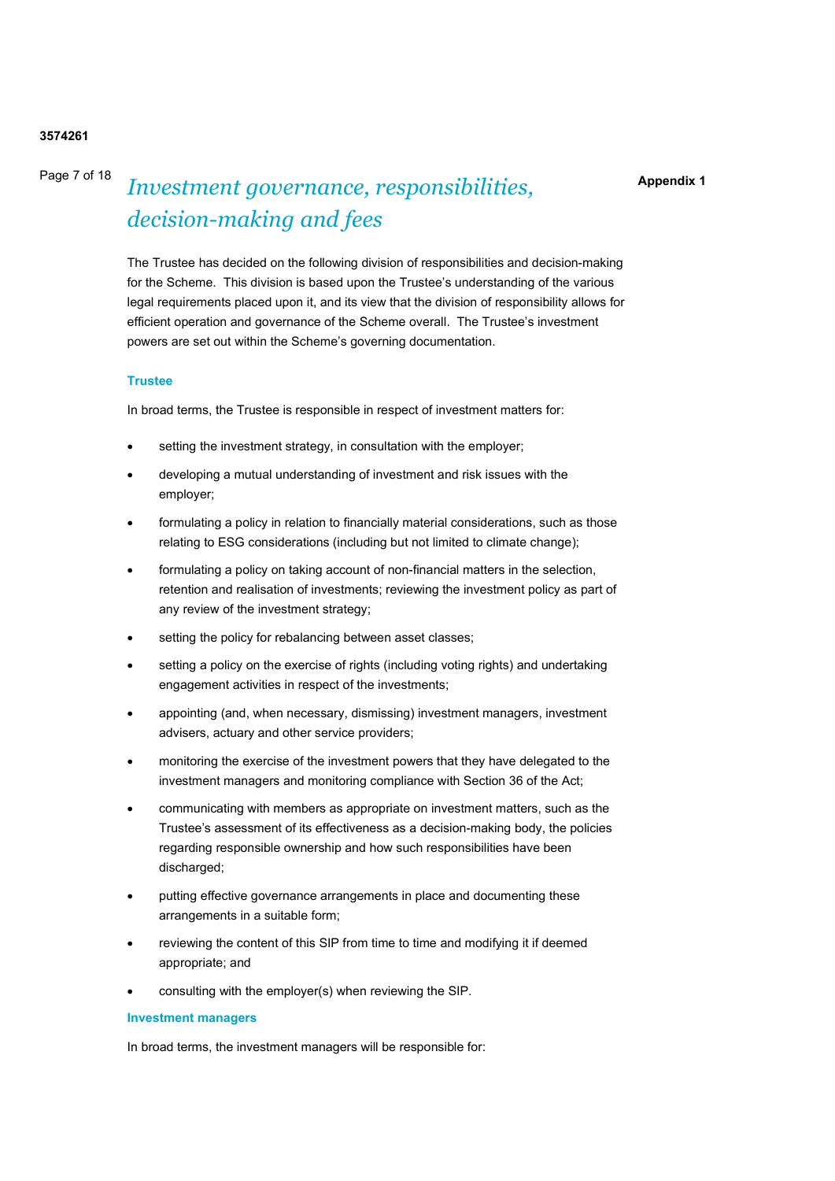## Page 7 of 18 Investment governance, responsibilities, decision-making and fees

The Trustee has decided on the following division of responsibilities and decision-making for the Scheme. This division is based upon the Trustee's understanding of the various legal requirements placed upon it, and its view that the division of responsibility allows for efficient operation and governance of the Scheme overall. The Trustee's investment powers are set out within the Scheme's governing documentation.

#### **Trustee**

In broad terms, the Trustee is responsible in respect of investment matters for:

- setting the investment strategy, in consultation with the employer;
- developing a mutual understanding of investment and risk issues with the employer;
- formulating a policy in relation to financially material considerations, such as those relating to ESG considerations (including but not limited to climate change);
- formulating a policy on taking account of non-financial matters in the selection, retention and realisation of investments; reviewing the investment policy as part of any review of the investment strategy;
- setting the policy for rebalancing between asset classes;
- setting a policy on the exercise of rights (including voting rights) and undertaking engagement activities in respect of the investments;
- appointing (and, when necessary, dismissing) investment managers, investment advisers, actuary and other service providers;
- monitoring the exercise of the investment powers that they have delegated to the investment managers and monitoring compliance with Section 36 of the Act;
- communicating with members as appropriate on investment matters, such as the Trustee's assessment of its effectiveness as a decision-making body, the policies regarding responsible ownership and how such responsibilities have been discharged;
- putting effective governance arrangements in place and documenting these arrangements in a suitable form;
- reviewing the content of this SIP from time to time and modifying it if deemed appropriate; and
- consulting with the employer(s) when reviewing the SIP.

#### Investment managers

In broad terms, the investment managers will be responsible for: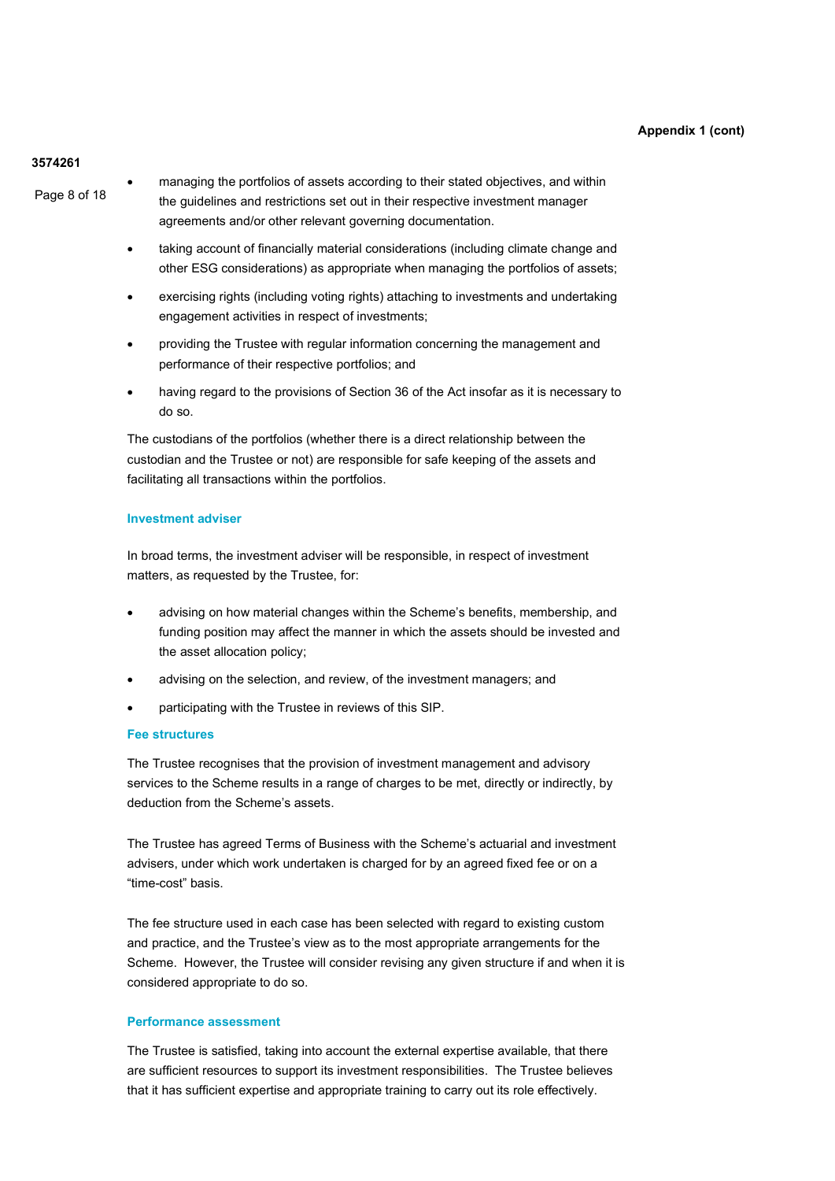#### Appendix 1 (cont)

### 3574261

Page 8 of 18

 managing the portfolios of assets according to their stated objectives, and within the guidelines and restrictions set out in their respective investment manager agreements and/or other relevant governing documentation.

- taking account of financially material considerations (including climate change and other ESG considerations) as appropriate when managing the portfolios of assets;
- exercising rights (including voting rights) attaching to investments and undertaking engagement activities in respect of investments;
- providing the Trustee with regular information concerning the management and performance of their respective portfolios; and
- having regard to the provisions of Section 36 of the Act insofar as it is necessary to do so.

The custodians of the portfolios (whether there is a direct relationship between the custodian and the Trustee or not) are responsible for safe keeping of the assets and facilitating all transactions within the portfolios.

#### Investment adviser

In broad terms, the investment adviser will be responsible, in respect of investment matters, as requested by the Trustee, for:

- advising on how material changes within the Scheme's benefits, membership, and funding position may affect the manner in which the assets should be invested and the asset allocation policy;
- advising on the selection, and review, of the investment managers; and
- participating with the Trustee in reviews of this SIP.

#### Fee structures

The Trustee recognises that the provision of investment management and advisory services to the Scheme results in a range of charges to be met, directly or indirectly, by deduction from the Scheme's assets.

The Trustee has agreed Terms of Business with the Scheme's actuarial and investment advisers, under which work undertaken is charged for by an agreed fixed fee or on a "time-cost" basis.

The fee structure used in each case has been selected with regard to existing custom and practice, and the Trustee's view as to the most appropriate arrangements for the Scheme. However, the Trustee will consider revising any given structure if and when it is considered appropriate to do so.

#### Performance assessment

The Trustee is satisfied, taking into account the external expertise available, that there are sufficient resources to support its investment responsibilities. The Trustee believes that it has sufficient expertise and appropriate training to carry out its role effectively.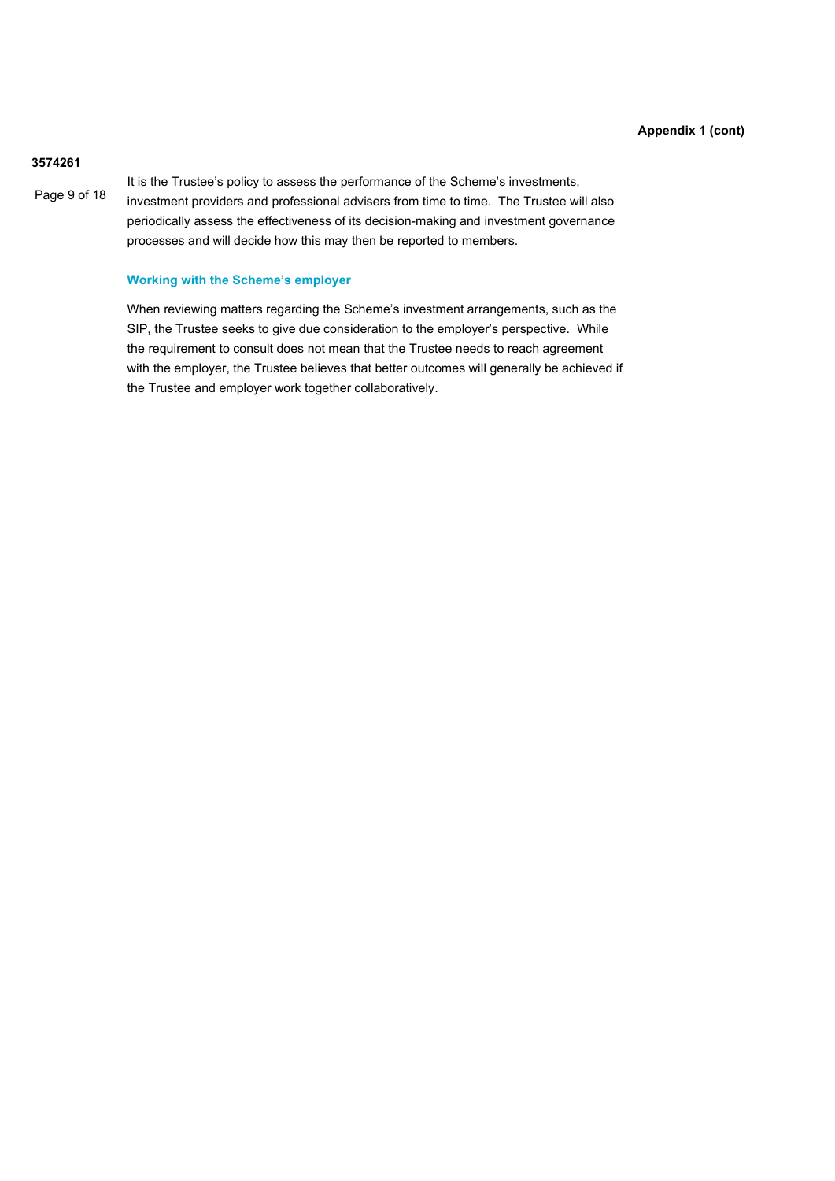Page 9 of 18

It is the Trustee's policy to assess the performance of the Scheme's investments, investment providers and professional advisers from time to time. The Trustee will also periodically assess the effectiveness of its decision-making and investment governance processes and will decide how this may then be reported to members.

#### Working with the Scheme's employer

When reviewing matters regarding the Scheme's investment arrangements, such as the SIP, the Trustee seeks to give due consideration to the employer's perspective. While the requirement to consult does not mean that the Trustee needs to reach agreement with the employer, the Trustee believes that better outcomes will generally be achieved if the Trustee and employer work together collaboratively.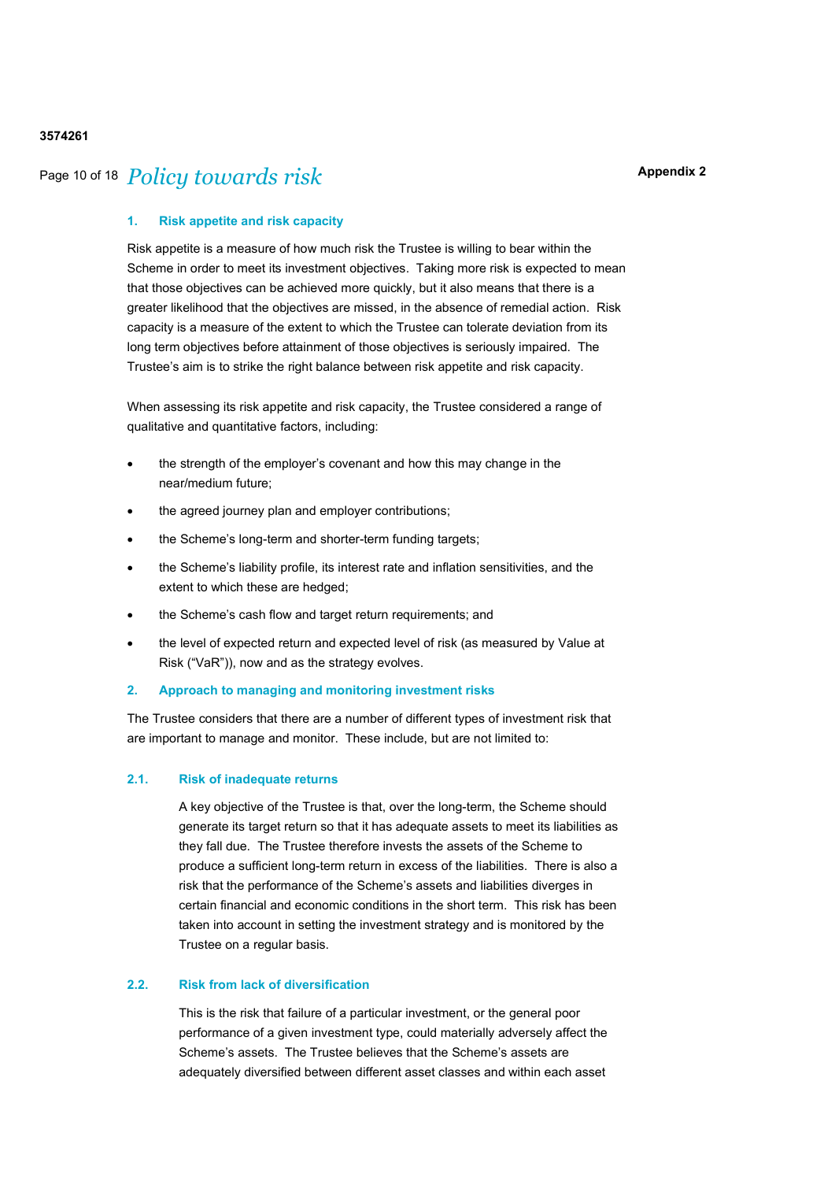## Page 10 of 18  $\it{Policy\ towards\ risk}$

#### 1. Risk appetite and risk capacity

Risk appetite is a measure of how much risk the Trustee is willing to bear within the Scheme in order to meet its investment objectives. Taking more risk is expected to mean that those objectives can be achieved more quickly, but it also means that there is a greater likelihood that the objectives are missed, in the absence of remedial action. Risk capacity is a measure of the extent to which the Trustee can tolerate deviation from its long term objectives before attainment of those objectives is seriously impaired. The Trustee's aim is to strike the right balance between risk appetite and risk capacity.

When assessing its risk appetite and risk capacity, the Trustee considered a range of qualitative and quantitative factors, including:

- the strength of the employer's covenant and how this may change in the near/medium future;
- the agreed journey plan and employer contributions;
- the Scheme's long-term and shorter-term funding targets;
- the Scheme's liability profile, its interest rate and inflation sensitivities, and the extent to which these are hedged;
- the Scheme's cash flow and target return requirements; and
- the level of expected return and expected level of risk (as measured by Value at Risk ("VaR")), now and as the strategy evolves.

#### 2. Approach to managing and monitoring investment risks

The Trustee considers that there are a number of different types of investment risk that are important to manage and monitor. These include, but are not limited to:

#### 2.1. Risk of inadequate returns

A key objective of the Trustee is that, over the long-term, the Scheme should generate its target return so that it has adequate assets to meet its liabilities as they fall due. The Trustee therefore invests the assets of the Scheme to produce a sufficient long-term return in excess of the liabilities. There is also a risk that the performance of the Scheme's assets and liabilities diverges in certain financial and economic conditions in the short term. This risk has been taken into account in setting the investment strategy and is monitored by the Trustee on a regular basis.

#### 2.2. Risk from lack of diversification

This is the risk that failure of a particular investment, or the general poor performance of a given investment type, could materially adversely affect the Scheme's assets. The Trustee believes that the Scheme's assets are adequately diversified between different asset classes and within each asset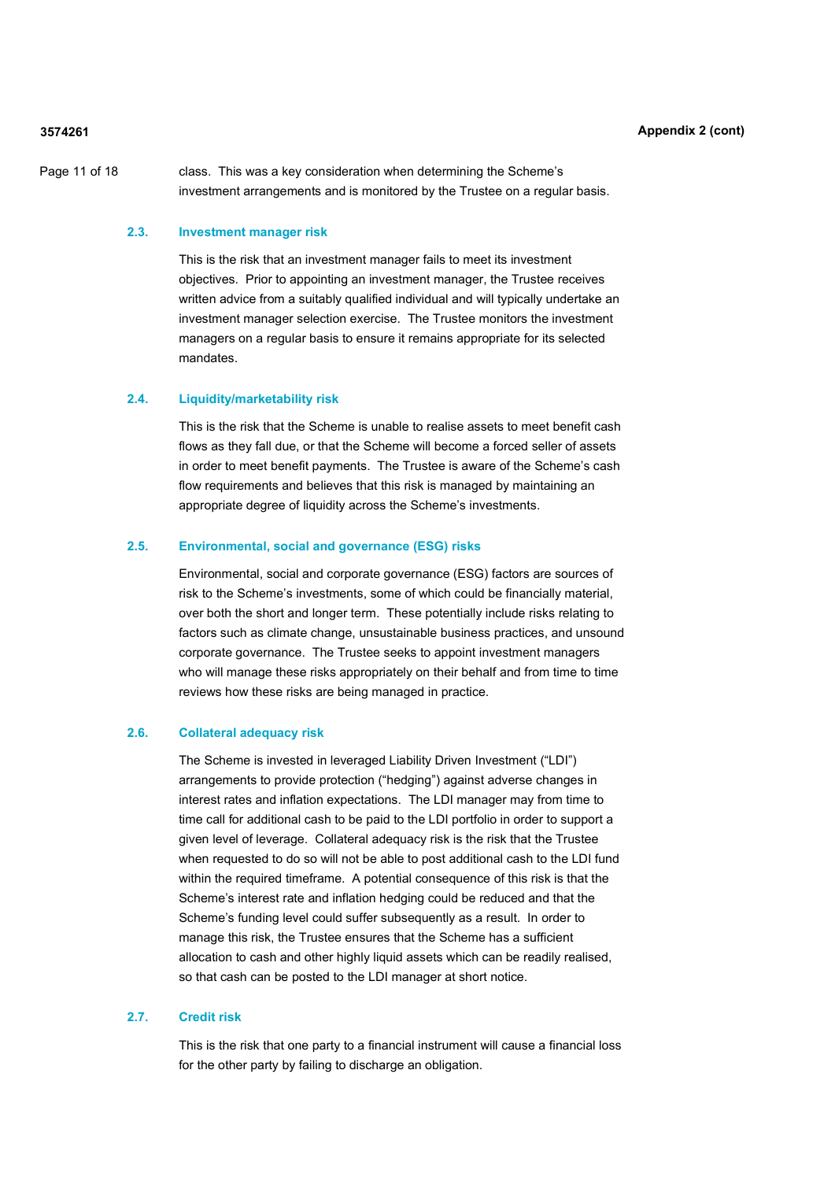Page 11 of 18 class. This was a key consideration when determining the Scheme's investment arrangements and is monitored by the Trustee on a regular basis.

#### 2.3. Investment manager risk

This is the risk that an investment manager fails to meet its investment objectives. Prior to appointing an investment manager, the Trustee receives written advice from a suitably qualified individual and will typically undertake an investment manager selection exercise. The Trustee monitors the investment managers on a regular basis to ensure it remains appropriate for its selected mandates.

#### 2.4. Liquidity/marketability risk

This is the risk that the Scheme is unable to realise assets to meet benefit cash flows as they fall due, or that the Scheme will become a forced seller of assets in order to meet benefit payments. The Trustee is aware of the Scheme's cash flow requirements and believes that this risk is managed by maintaining an appropriate degree of liquidity across the Scheme's investments.

#### 2.5. Environmental, social and governance (ESG) risks

Environmental, social and corporate governance (ESG) factors are sources of risk to the Scheme's investments, some of which could be financially material, over both the short and longer term. These potentially include risks relating to factors such as climate change, unsustainable business practices, and unsound corporate governance. The Trustee seeks to appoint investment managers who will manage these risks appropriately on their behalf and from time to time reviews how these risks are being managed in practice.

#### 2.6. Collateral adequacy risk

The Scheme is invested in leveraged Liability Driven Investment ("LDI") arrangements to provide protection ("hedging") against adverse changes in interest rates and inflation expectations. The LDI manager may from time to time call for additional cash to be paid to the LDI portfolio in order to support a given level of leverage. Collateral adequacy risk is the risk that the Trustee when requested to do so will not be able to post additional cash to the LDI fund within the required timeframe. A potential consequence of this risk is that the Scheme's interest rate and inflation hedging could be reduced and that the Scheme's funding level could suffer subsequently as a result. In order to manage this risk, the Trustee ensures that the Scheme has a sufficient allocation to cash and other highly liquid assets which can be readily realised. so that cash can be posted to the LDI manager at short notice.

#### 2.7. Credit risk

This is the risk that one party to a financial instrument will cause a financial loss for the other party by failing to discharge an obligation.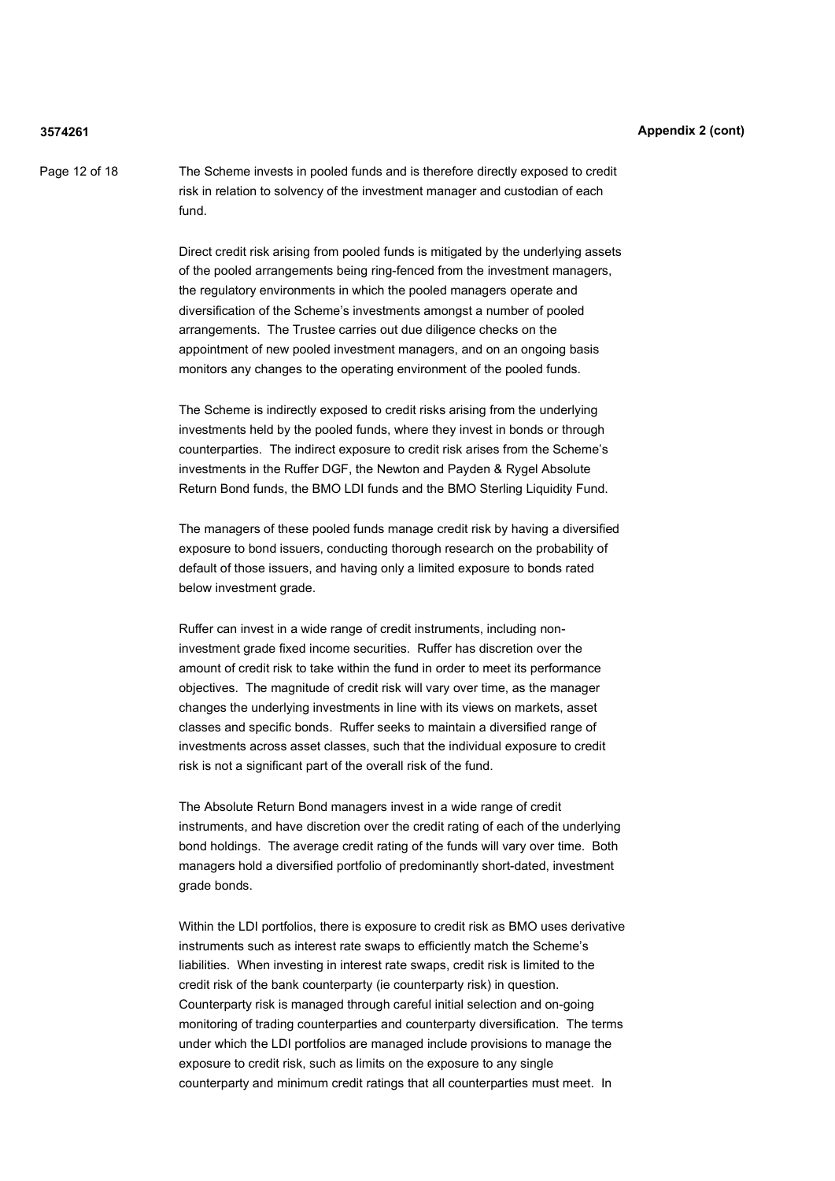#### 3574261 Appendix 2 (cont)

Page 12 of 18 The Scheme invests in pooled funds and is therefore directly exposed to credit risk in relation to solvency of the investment manager and custodian of each fund.

> Direct credit risk arising from pooled funds is mitigated by the underlying assets of the pooled arrangements being ring-fenced from the investment managers, the regulatory environments in which the pooled managers operate and diversification of the Scheme's investments amongst a number of pooled arrangements. The Trustee carries out due diligence checks on the appointment of new pooled investment managers, and on an ongoing basis monitors any changes to the operating environment of the pooled funds.

The Scheme is indirectly exposed to credit risks arising from the underlying investments held by the pooled funds, where they invest in bonds or through counterparties. The indirect exposure to credit risk arises from the Scheme's investments in the Ruffer DGF, the Newton and Payden & Rygel Absolute Return Bond funds, the BMO LDI funds and the BMO Sterling Liquidity Fund.

The managers of these pooled funds manage credit risk by having a diversified exposure to bond issuers, conducting thorough research on the probability of default of those issuers, and having only a limited exposure to bonds rated below investment grade.

Ruffer can invest in a wide range of credit instruments, including noninvestment grade fixed income securities. Ruffer has discretion over the amount of credit risk to take within the fund in order to meet its performance objectives. The magnitude of credit risk will vary over time, as the manager changes the underlying investments in line with its views on markets, asset classes and specific bonds. Ruffer seeks to maintain a diversified range of investments across asset classes, such that the individual exposure to credit risk is not a significant part of the overall risk of the fund.

The Absolute Return Bond managers invest in a wide range of credit instruments, and have discretion over the credit rating of each of the underlying bond holdings. The average credit rating of the funds will vary over time. Both managers hold a diversified portfolio of predominantly short-dated, investment grade bonds.

Within the LDI portfolios, there is exposure to credit risk as BMO uses derivative instruments such as interest rate swaps to efficiently match the Scheme's liabilities. When investing in interest rate swaps, credit risk is limited to the credit risk of the bank counterparty (ie counterparty risk) in question. Counterparty risk is managed through careful initial selection and on-going monitoring of trading counterparties and counterparty diversification. The terms under which the LDI portfolios are managed include provisions to manage the exposure to credit risk, such as limits on the exposure to any single counterparty and minimum credit ratings that all counterparties must meet. In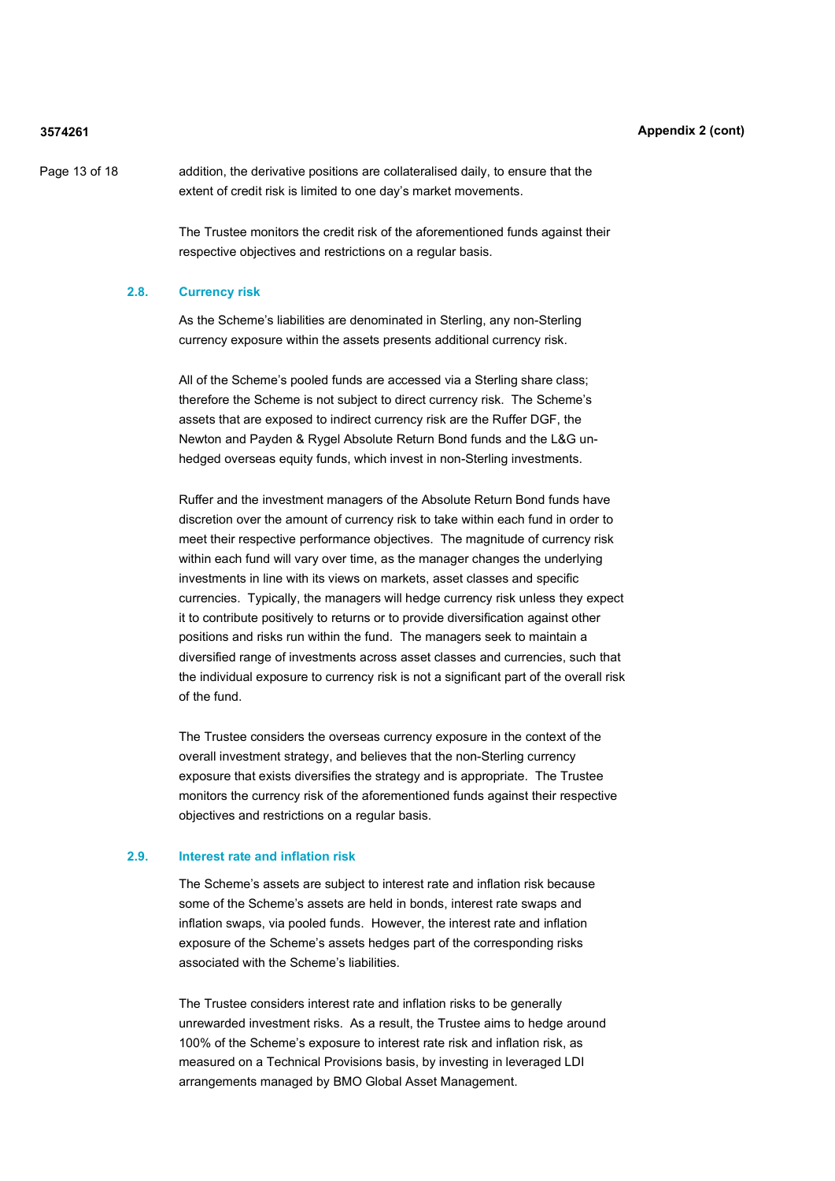#### 3574261 Appendix 2 (cont)

Page 13 of 18 addition, the derivative positions are collateralised daily, to ensure that the extent of credit risk is limited to one day's market movements.

> The Trustee monitors the credit risk of the aforementioned funds against their respective objectives and restrictions on a regular basis.

#### 2.8. Currency risk

As the Scheme's liabilities are denominated in Sterling, any non-Sterling currency exposure within the assets presents additional currency risk.

All of the Scheme's pooled funds are accessed via a Sterling share class; therefore the Scheme is not subject to direct currency risk. The Scheme's assets that are exposed to indirect currency risk are the Ruffer DGF, the Newton and Payden & Rygel Absolute Return Bond funds and the L&G unhedged overseas equity funds, which invest in non-Sterling investments.

Ruffer and the investment managers of the Absolute Return Bond funds have discretion over the amount of currency risk to take within each fund in order to meet their respective performance objectives. The magnitude of currency risk within each fund will vary over time, as the manager changes the underlying investments in line with its views on markets, asset classes and specific currencies. Typically, the managers will hedge currency risk unless they expect it to contribute positively to returns or to provide diversification against other positions and risks run within the fund. The managers seek to maintain a diversified range of investments across asset classes and currencies, such that the individual exposure to currency risk is not a significant part of the overall risk of the fund.

The Trustee considers the overseas currency exposure in the context of the overall investment strategy, and believes that the non-Sterling currency exposure that exists diversifies the strategy and is appropriate. The Trustee monitors the currency risk of the aforementioned funds against their respective objectives and restrictions on a regular basis.

#### 2.9. Interest rate and inflation risk

The Scheme's assets are subject to interest rate and inflation risk because some of the Scheme's assets are held in bonds, interest rate swaps and inflation swaps, via pooled funds. However, the interest rate and inflation exposure of the Scheme's assets hedges part of the corresponding risks associated with the Scheme's liabilities.

The Trustee considers interest rate and inflation risks to be generally unrewarded investment risks. As a result, the Trustee aims to hedge around 100% of the Scheme's exposure to interest rate risk and inflation risk, as measured on a Technical Provisions basis, by investing in leveraged LDI arrangements managed by BMO Global Asset Management.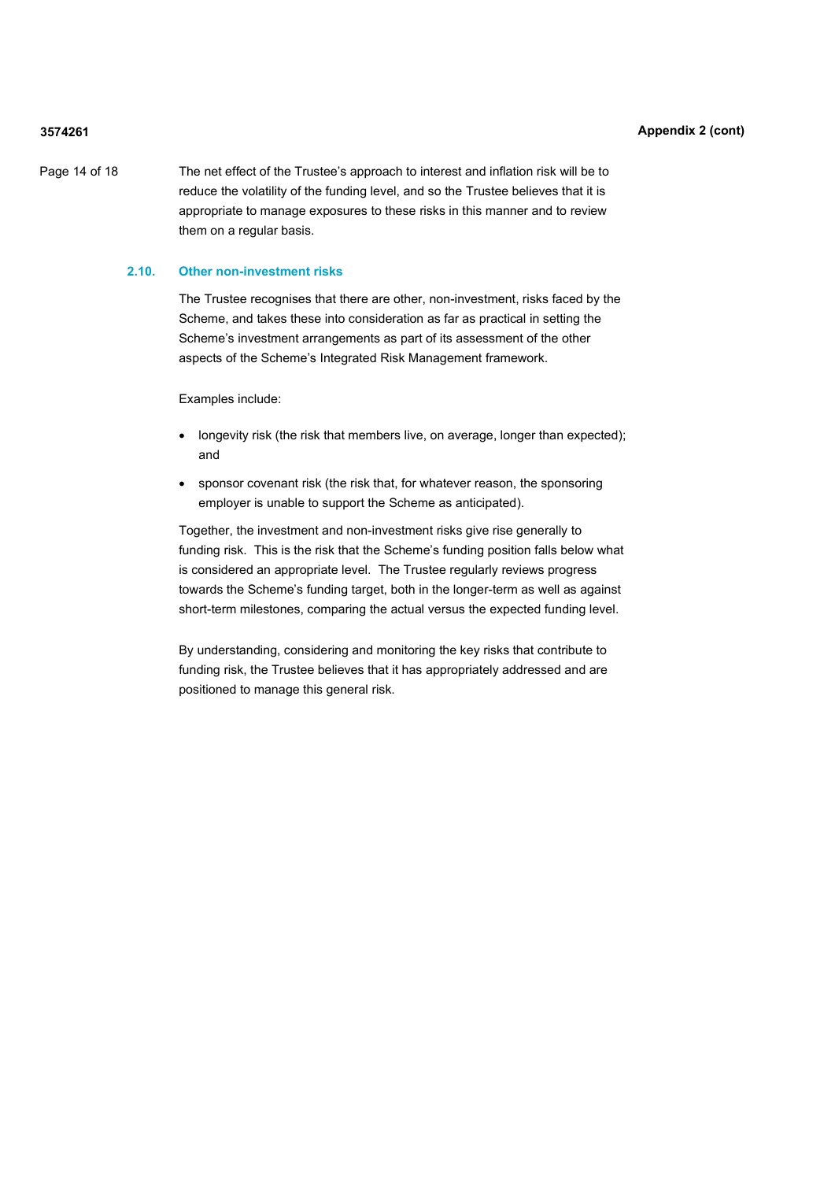Page 14 of 18 The net effect of the Trustee's approach to interest and inflation risk will be to reduce the volatility of the funding level, and so the Trustee believes that it is appropriate to manage exposures to these risks in this manner and to review them on a regular basis.

#### 2.10. Other non-investment risks

The Trustee recognises that there are other, non-investment, risks faced by the Scheme, and takes these into consideration as far as practical in setting the Scheme's investment arrangements as part of its assessment of the other aspects of the Scheme's Integrated Risk Management framework.

Examples include:

- longevity risk (the risk that members live, on average, longer than expected); and
- sponsor covenant risk (the risk that, for whatever reason, the sponsoring employer is unable to support the Scheme as anticipated).

Together, the investment and non-investment risks give rise generally to funding risk. This is the risk that the Scheme's funding position falls below what is considered an appropriate level. The Trustee regularly reviews progress towards the Scheme's funding target, both in the longer-term as well as against short-term milestones, comparing the actual versus the expected funding level.

By understanding, considering and monitoring the key risks that contribute to funding risk, the Trustee believes that it has appropriately addressed and are positioned to manage this general risk.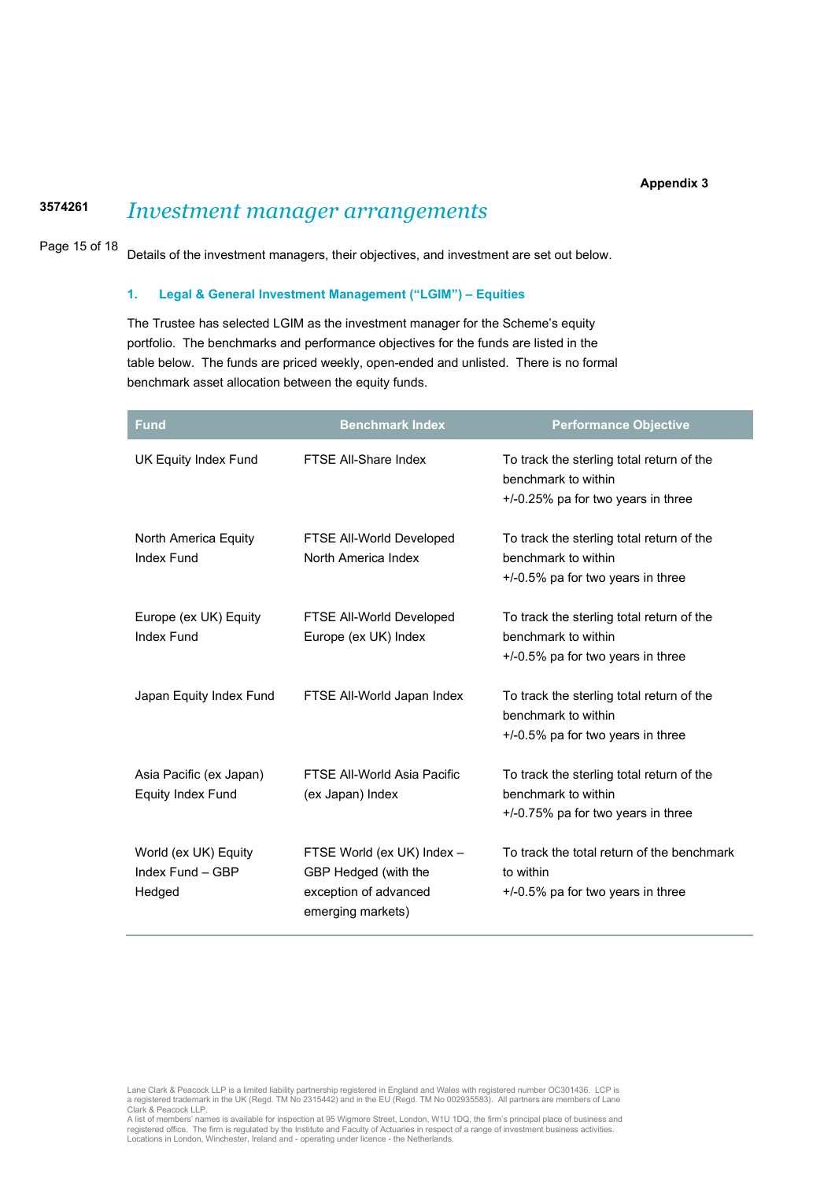#### Appendix 3

## <sup>3574261</sup> Investment manager arrangements

Page 15 of 18 Details of the investment managers, their objectives, and investment are set out below.

#### 1. Legal & General Investment Management ("LGIM") – Equities

The Trustee has selected LGIM as the investment manager for the Scheme's equity portfolio. The benchmarks and performance objectives for the funds are listed in the table below. The funds are priced weekly, open-ended and unlisted. There is no formal benchmark asset allocation between the equity funds.

| <b>Fund</b>                                         | <b>Benchmark Index</b>                                                                           | <b>Performance Objective</b>                                                                              |
|-----------------------------------------------------|--------------------------------------------------------------------------------------------------|-----------------------------------------------------------------------------------------------------------|
| UK Equity Index Fund                                | FTSE All-Share Index                                                                             | To track the sterling total return of the<br>benchmark to within<br>+/-0.25% pa for two years in three    |
| North America Equity<br><b>Index Fund</b>           | FTSE All-World Developed<br>North America Index                                                  | To track the sterling total return of the<br>benchmark to within<br>+/-0.5% pa for two years in three     |
| Europe (ex UK) Equity<br><b>Index Fund</b>          | FTSE All-World Developed<br>Europe (ex UK) Index                                                 | To track the sterling total return of the<br>benchmark to within<br>+/-0.5% pa for two years in three     |
| Japan Equity Index Fund                             | FTSE All-World Japan Index                                                                       | To track the sterling total return of the<br>benchmark to within<br>$+/-0.5\%$ pa for two years in three  |
| Asia Pacific (ex Japan)<br><b>Equity Index Fund</b> | FTSE All-World Asia Pacific<br>(ex Japan) Index                                                  | To track the sterling total return of the<br>benchmark to within<br>$+/-0.75\%$ pa for two years in three |
| World (ex UK) Equity<br>Index Fund - GBP<br>Hedged  | FTSE World (ex UK) Index -<br>GBP Hedged (with the<br>exception of advanced<br>emerging markets) | To track the total return of the benchmark<br>to within<br>$+/-0.5\%$ pa for two years in three           |

Lane Clark & Peacock LLP is a limited liability partnership registered in England and Wales with registered number OC301436. LCP is<br>a registered trademark in the UK (Regd. TM No 2315442) and in the EU (Regd. TM No 00293558

registered office. The firm is regulated by the Institute and Faculty of Actuaries in respect of a range of investment business activities.<br>Locations in London, Winchester, Ireland and - operating under licence - the Neth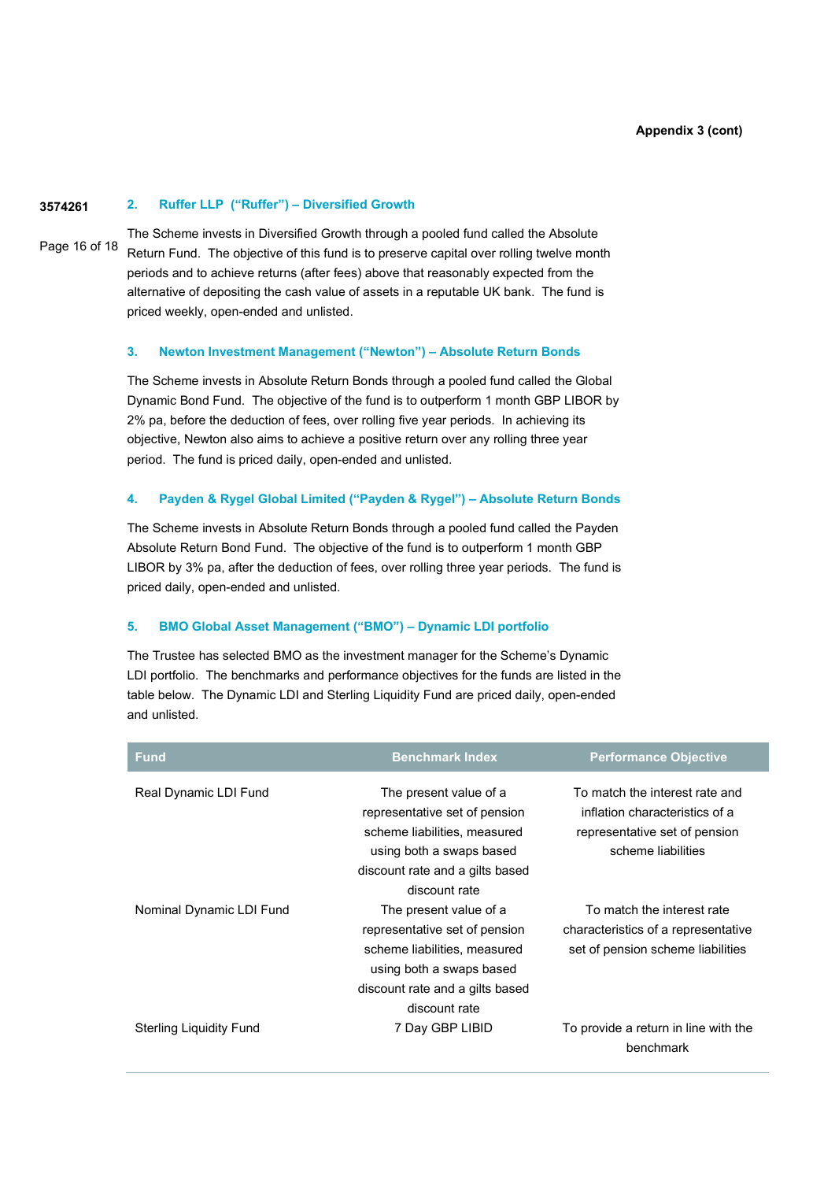#### 3574261 2. Ruffer LLP ("Ruffer") – Diversified Growth

Page 16 of 18

The Scheme invests in Diversified Growth through a pooled fund called the Absolute Return Fund. The objective of this fund is to preserve capital over rolling twelve month periods and to achieve returns (after fees) above that reasonably expected from the alternative of depositing the cash value of assets in a reputable UK bank. The fund is priced weekly, open-ended and unlisted.

#### 3. Newton Investment Management ("Newton") – Absolute Return Bonds

The Scheme invests in Absolute Return Bonds through a pooled fund called the Global Dynamic Bond Fund. The objective of the fund is to outperform 1 month GBP LIBOR by 2% pa, before the deduction of fees, over rolling five year periods. In achieving its objective, Newton also aims to achieve a positive return over any rolling three year period. The fund is priced daily, open-ended and unlisted.

#### 4. Payden & Rygel Global Limited ("Payden & Rygel") – Absolute Return Bonds

The Scheme invests in Absolute Return Bonds through a pooled fund called the Payden Absolute Return Bond Fund. The objective of the fund is to outperform 1 month GBP LIBOR by 3% pa, after the deduction of fees, over rolling three year periods. The fund is priced daily, open-ended and unlisted.

#### 5. BMO Global Asset Management ("BMO") – Dynamic LDI portfolio

The Trustee has selected BMO as the investment manager for the Scheme's Dynamic LDI portfolio. The benchmarks and performance objectives for the funds are listed in the table below. The Dynamic LDI and Sterling Liquidity Fund are priced daily, open-ended and unlisted.

| <b>Fund</b>                    | <b>Benchmark Index</b>                                                                                                                                                  | <b>Performance Objective</b>                                                                                            |
|--------------------------------|-------------------------------------------------------------------------------------------------------------------------------------------------------------------------|-------------------------------------------------------------------------------------------------------------------------|
| Real Dynamic LDI Fund          | The present value of a<br>representative set of pension<br>scheme liabilities, measured<br>using both a swaps based<br>discount rate and a gilts based<br>discount rate | To match the interest rate and<br>inflation characteristics of a<br>representative set of pension<br>scheme liabilities |
| Nominal Dynamic LDI Fund       | The present value of a<br>representative set of pension<br>scheme liabilities, measured<br>using both a swaps based<br>discount rate and a gilts based<br>discount rate | To match the interest rate<br>characteristics of a representative<br>set of pension scheme liabilities                  |
| <b>Sterling Liquidity Fund</b> | 7 Day GBP LIBID                                                                                                                                                         | To provide a return in line with the<br>benchmark                                                                       |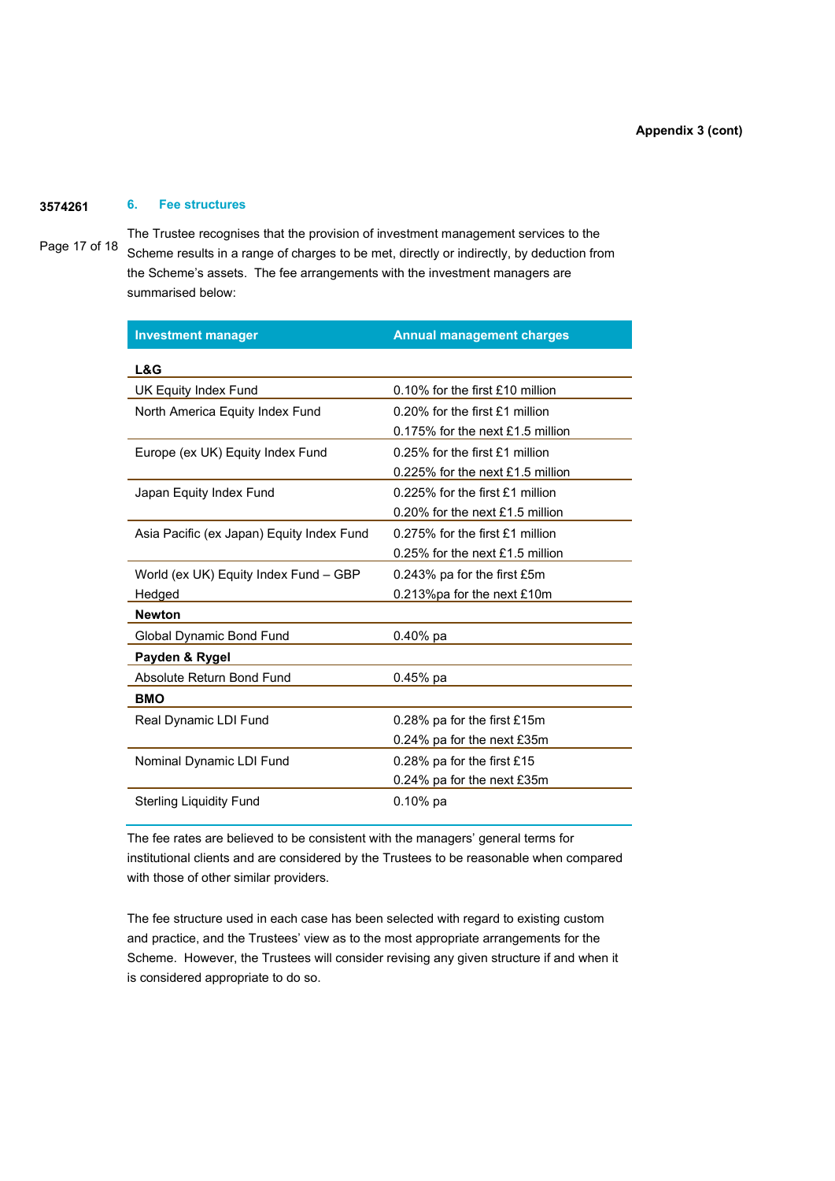#### 3574261 6. Fee structures

Page 17 of 18

The Trustee recognises that the provision of investment management services to the Scheme results in a range of charges to be met, directly or indirectly, by deduction from the Scheme's assets. The fee arrangements with the investment managers are summarised below:

| <b>Investment manager</b>                 | <b>Annual management charges</b>    |
|-------------------------------------------|-------------------------------------|
| L&G                                       |                                     |
| UK Equity Index Fund                      | 0.10% for the first £10 million     |
| North America Equity Index Fund           | 0.20% for the first £1 million      |
|                                           | $0.175\%$ for the next £1.5 million |
| Europe (ex UK) Equity Index Fund          | 0.25% for the first £1 million      |
|                                           | 0.225% for the next £1.5 million    |
| Japan Equity Index Fund                   | 0.225% for the first £1 million     |
|                                           | 0.20% for the next £1.5 million     |
| Asia Pacific (ex Japan) Equity Index Fund | 0.275% for the first £1 million     |
|                                           | $0.25\%$ for the next £1.5 million  |
| World (ex UK) Equity Index Fund - GBP     | 0.243% pa for the first £5m         |
| Hedged                                    | 0.213%pa for the next £10m          |
| <b>Newton</b>                             |                                     |
| Global Dynamic Bond Fund                  | $0.40%$ pa                          |
| Payden & Rygel                            |                                     |
| Absolute Return Bond Fund                 | $0.45%$ pa                          |
| <b>BMO</b>                                |                                     |
| Real Dynamic LDI Fund                     | 0.28% pa for the first £15m         |
|                                           | 0.24% pa for the next £35m          |
| Nominal Dynamic LDI Fund                  | 0.28% pa for the first £15          |
|                                           | 0.24% pa for the next £35m          |
| <b>Sterling Liquidity Fund</b>            | $0.10\%$ pa                         |

The fee rates are believed to be consistent with the managers' general terms for institutional clients and are considered by the Trustees to be reasonable when compared with those of other similar providers.

The fee structure used in each case has been selected with regard to existing custom and practice, and the Trustees' view as to the most appropriate arrangements for the Scheme. However, the Trustees will consider revising any given structure if and when it is considered appropriate to do so.